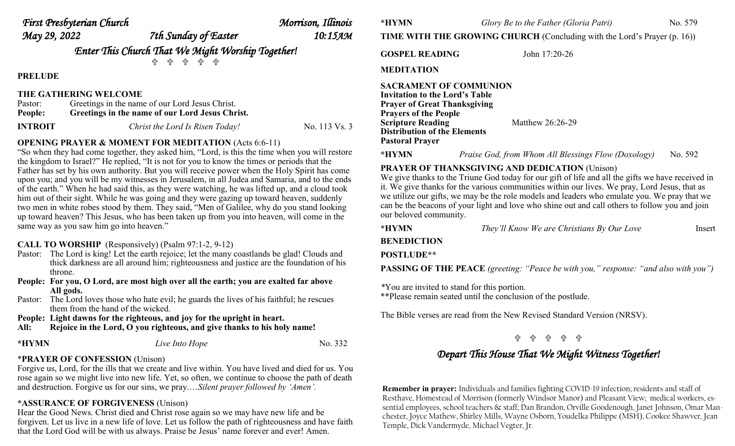| First Presbyterian Church |                                                                                                                                                                                                                                                                                                                   | Morrison, Illinois |
|---------------------------|-------------------------------------------------------------------------------------------------------------------------------------------------------------------------------------------------------------------------------------------------------------------------------------------------------------------|--------------------|
| May 29, 2022              | 7th Sunday of Easter                                                                                                                                                                                                                                                                                              | 10:15 дм           |
|                           | $\mathcal{C}$ and $\mathcal{C}$ and $\mathcal{C}$ and $\mathcal{C}$ and $\mathcal{C}$ and $\mathcal{C}$ and $\mathcal{C}$ and $\mathcal{C}$ and $\mathcal{C}$ and $\mathcal{C}$ and $\mathcal{C}$ and $\mathcal{C}$ and $\mathcal{C}$ and $\mathcal{C}$ and $\mathcal{C}$ and $\mathcal{C}$ and $\mathcal{C}$ and |                    |

*Enter This Church That We Might Worship Together!*

유 유 유 유

**PRELUDE** 

### **THE GATHERING WELCOME**

| Pastor:        | Greetings in the name of our Lord Jesus Christ. |               |  |
|----------------|-------------------------------------------------|---------------|--|
| People:        | Greetings in the name of our Lord Jesus Christ. |               |  |
| <b>INTROIT</b> | Christ the Lord Is Risen Today!                 | No. 113 Vs. 3 |  |

### **OPENING PRAYER & MOMENT FOR MEDITATION (Acts 6:6-11)**

"So when they had come together, they asked him, "Lord, is this the time when you will restore the kingdom to Israel?" He replied, "It is not for you to know the times or periods that the Father has set by his own authority. But you will receive power when the Holy Spirit has come upon you; and you will be my witnesses in Jerusalem, in all Judea and Samaria, and to the ends of the earth." When he had said this, as they were watching, he was lifted up, and a cloud took him out of their sight. While he was going and they were gazing up toward heaven, suddenly two men in white robes stood by them. They said, "Men of Galilee, why do you stand looking up toward heaven? This Jesus, who has been taken up from you into heaven, will come in the same way as you saw him go into heaven."

**CALL TO WORSHIP** (Responsively) (Psalm 97:1-2, 9-12)

- Pastor: The Lord is king! Let the earth rejoice; let the many coastlands be glad! Clouds and thick darkness are all around him; righteousness and justice are the foundation of his throne.
- **People: For you, O Lord, are most high over all the earth; you are exalted far above All gods.**
- Pastor: The Lord loves those who hate evil; he guards the lives of his faithful; he rescues them from the hand of the wicked.

**People: Light dawns for the righteous, and joy for the upright in heart.** 

**All: Rejoice in the Lord, O you righteous, and give thanks to his holy name!** 

| *HYMN | Live Into Hope |  | No. 332 |
|-------|----------------|--|---------|
|-------|----------------|--|---------|

## \***PRAYER OF CONFESSION** (Unison)

Forgive us, Lord, for the ills that we create and live within. You have lived and died for us. You rose again so we might live into new life. Yet, so often, we continue to choose the path of death and destruction. Forgive us for our sins, we pray.…*Silent prayer followed by 'Amen'.* 

# **\*ASSURANCE OF FORGIVENESS** (Unison)

Hear the Good News. Christ died and Christ rose again so we may have new life and be forgiven. Let us live in a new life of love. Let us follow the path of righteousness and have faith that the Lord God will be with us always. Praise be Jesus' name forever and ever! Amen.

**\*HYMN** *Glory Be to the Father (Gloria Patri)* No. 579

**TIME WITH THE GROWING CHURCH** (Concluding with the Lord's Prayer (p. 16))

GOSPEL READING John 17:20-26

**MEDITATION** 

**SACRAMENT OF COMMUNION Invitation to the Lord's Table Prayer of Great Thanksgiving Prayers of the People Scripture Reading Matthew 26:26-29 Distribution of the Elements Pastoral Prayer**

**\*HYMN** *Praise God, from Whom All Blessings Flow (Doxology)* No. 592

## **PRAYER OF THANKSGIVING AND DEDICATION** (Unison)

We give thanks to the Triune God today for our gift of life and all the gifts we have received in it. We give thanks for the various communities within our lives. We pray, Lord Jesus, that as we utilize our gifts, we may be the role models and leaders who emulate you. We pray that we can be the beacons of your light and love who shine out and call others to follow you and join our beloved community.

| *HYMN | They'll Know We are Christians By Our Love | Insert |
|-------|--------------------------------------------|--------|
|-------|--------------------------------------------|--------|

**BENEDICTION POSTLUDE\*\***

**PASSING OF THE PEACE** *(greeting: "Peace be with you," response: "and also with you")*

*\**You are invited to stand for this portion. \*\*Please remain seated until the conclusion of the postlude.

The Bible verses are read from the New Revised Standard Version (NRSV).

## - 유 - 유 - 유

# *Depart This House That We Might Witness Together!*

**Remember in prayer:** Individuals and families fighting COVID-19 infection; residents and staff of Resthave, Homestead of Morrison (formerly Windsor Manor) and Pleasant View; medical workers, essential employees, school teachers & staff; Dan Brandon, Orville Goodenough, Janet Johnson, Omar Manchester, Joyce Mathew, Shirley Mills, Wayne Osborn, Youdelka Philippe (MSH), Cookee Shawver, Jean Temple, Dick Vandermyde, Michael Vegter, Jr.